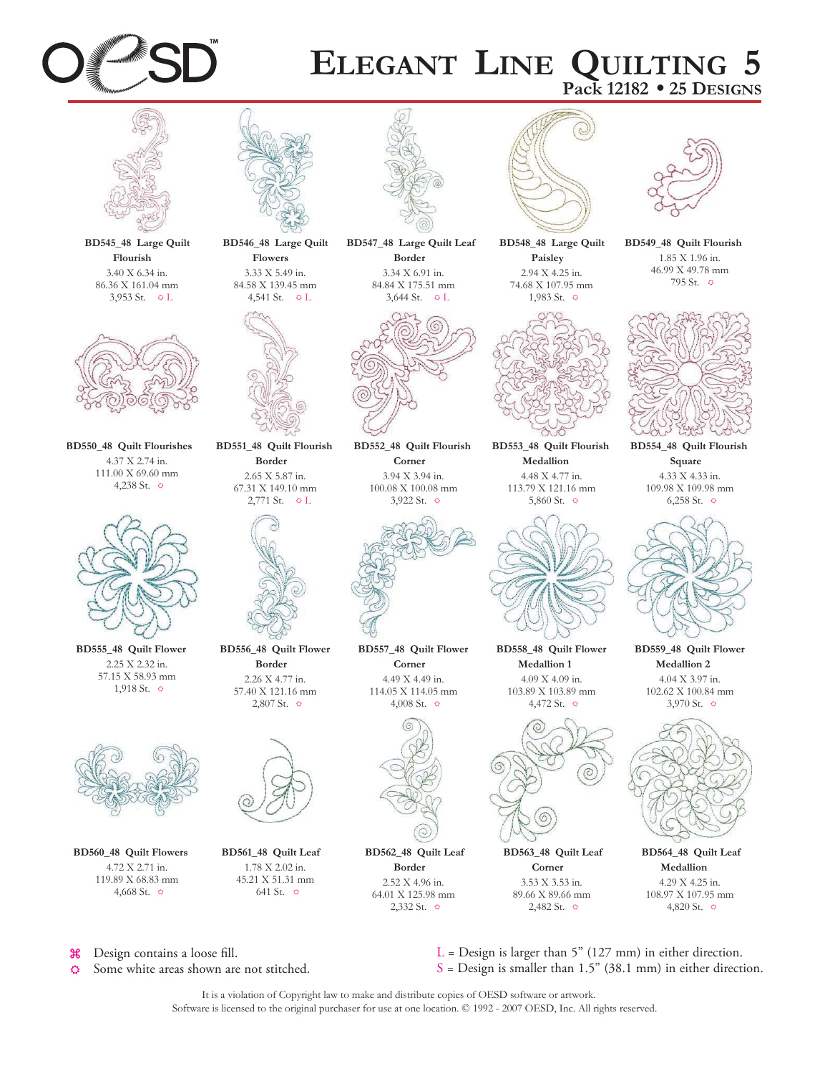

## **ELEGANT LINE QUILTING 5 Pack 12182 • 25 DESIGNS**



**BD545\_48 Large Quilt Flourish** 3.40 X 6.34 in. 86.36 X 161.04 mm 3,953 St.  $\circ$  L



**BD550\_48 Quilt Flourishes** 4.37 X 2.74 in. 111.00 X 69.60 mm 4,238 St. 0



**BD555\_48 Quilt Flower** 2.25 X 2.32 in. 57.15 X 58.93 mm 1,918 St. 0



**BD560\_48 Quilt Flowers** 4.72 X 2.71 in. 119.89 X 68.83 mm 4,668 St.  $\circ$ 



**Flowers** 3.33 X 5.49 in. 84.58 X 139.45 mm 4,541 St. 0 L



**BD551\_48 Quilt Flourish Border** 2.65 X 5.87 in. 67.31 X 149.10 mm  $2,771$  St.  $\circ$  L



**BD556\_48 Quilt Flower Border** 2.26 X 4.77 in. 57.40 X 121.16 mm 2,807 St. 0



**BD561\_48 Quilt Leaf** 1.78 X 2.02 in. 45.21 X 51.31 mm 641 St.  $\hat{p}$ 



**BD547\_48 Large Quilt Leaf Border** 3.34 X 6.91 in. 84.84 X 175.51 mm 3,644 St.  $\circ$  L



**BD552\_48 Quilt Flourish Corner** 3.94 X 3.94 in. 100.08 X 100.08 mm 3,922 St.  $\circ$ 



**BD557\_48 Quilt Flower Corner** 4.49 X 4.49 in. 114.05 X 114.05 mm 4,008 St.  $\circ$ 



**BD562\_48 Quilt Leaf Border** 2.52 X 4.96 in. 64.01 X 125.98 mm



 $2,332$  St.  $\circ$ 



**BD548\_48 Large Quilt Paisley** 2.94 X 4.25 in. 74.68 X 107.95 mm



**BD553\_48 Quilt Flourish Medallion** 4.48 X 4.77 in. 113.79 X 121.16 mm 5,860 St. 5



**BD558\_48 Quilt Flower Medallion 1** 4.09 X 4.09 in. 103.89 X 103.89 mm 4,472 St. 0



**BD563\_48 Quilt Leaf Corner** 3.53 X 3.53 in. 89.66 X 89.66 mm  $2,482$  St.  $\circ$ 



**BD549\_48 Quilt Flourish** 1.85 X 1.96 in. 46.99 X 49.78 mm 795 St.  $\circ$ 



**BD554\_48 Quilt Flourish Square** 4.33 X 4.33 in. 109.98 X 109.98 mm 6,258 St. 5



**BD559\_48 Quilt Flower Medallion 2** 4.04 X 3.97 in. 102.62 X 100.84 mm 3,970 St. 0



**BD564\_48 Quilt Leaf Medallion** 4.29 X 4.25 in. 108.97 X 107.95 mm 4,820 St. 0

 $\mathcal{H}$ Design contains a loose fill.

Some white areas shown are not stitched. 凸

 $L =$  Design is larger than 5" (127 mm) in either direction.  $S =$  Design is smaller than 1.5" (38.1 mm) in either direction.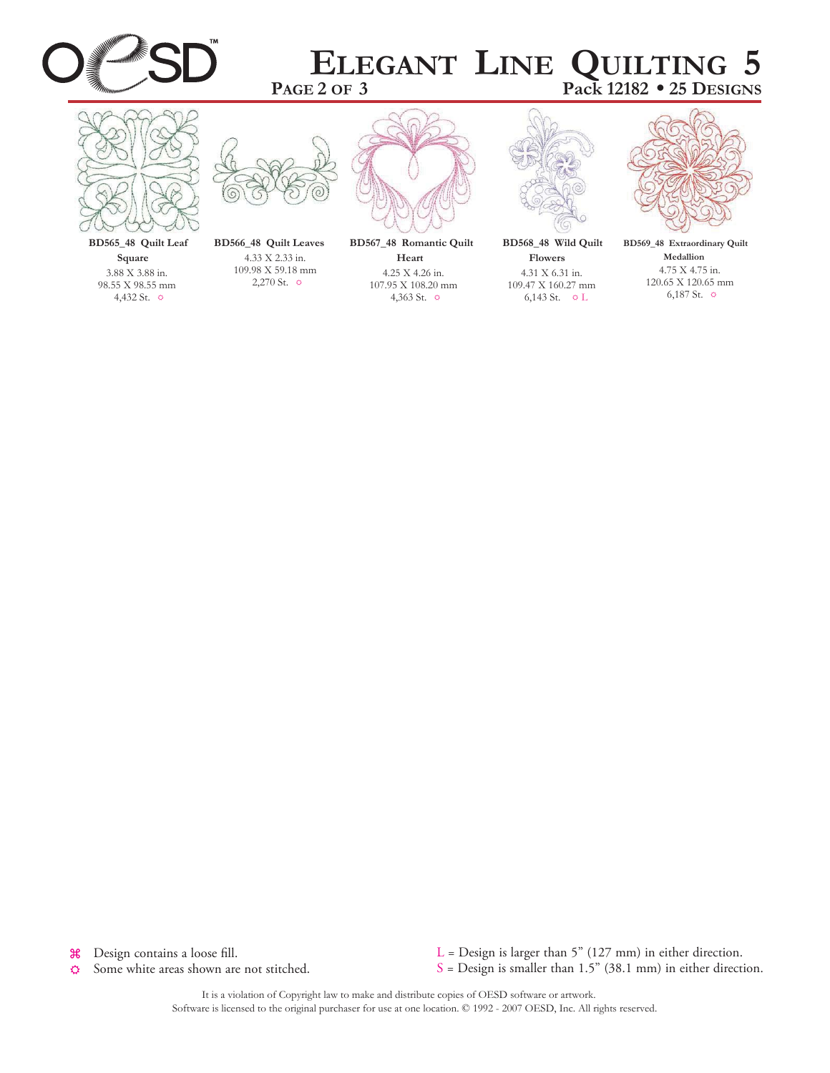

## **PAGE 2 OF 3 ELEGANT LINE QUILTING 5 Pack 12182 • 25 DESIGNS**



**BD565\_48 Quilt Leaf Square** 3.88 X 3.88 in. 98.55 X 98.55 mm 4,432 St. 5



**BD566\_48 Quilt Leaves** 4.33 X 2.33 in. 109.98 X 59.18 mm 2,270 St.  $\circ$ 

**BD567\_48 Romantic Quilt**

**Heart** 4.25 X 4.26 in. 107.95 X 108.20 mm 4,363 St.  $\circ$ 



**BD568\_48 Wild Quilt Flowers** 4.31 X 6.31 in. 109.47 X 160.27 mm 6,143 St.  $\circ$  L



**BD569\_48 Extraordinary Quilt Medallion** 4.75 X 4.75 in. 120.65 X 120.65 mm 6,187 St.  $\circ$ 

Design contains a loose fill.  $\mathcal{H}$ 

Some white areas shown are not stitched. ♦

L = Design is larger than 5" (127 mm) in either direction.  $S =$  Design is smaller than 1.5" (38.1 mm) in either direction.

It is a violation of Copyright law to make and distribute copies of OESD software or artwork. Software is licensed to the original purchaser for use at one location.  $© 1992 - 2007 OESD$ , Inc. All rights reserved.